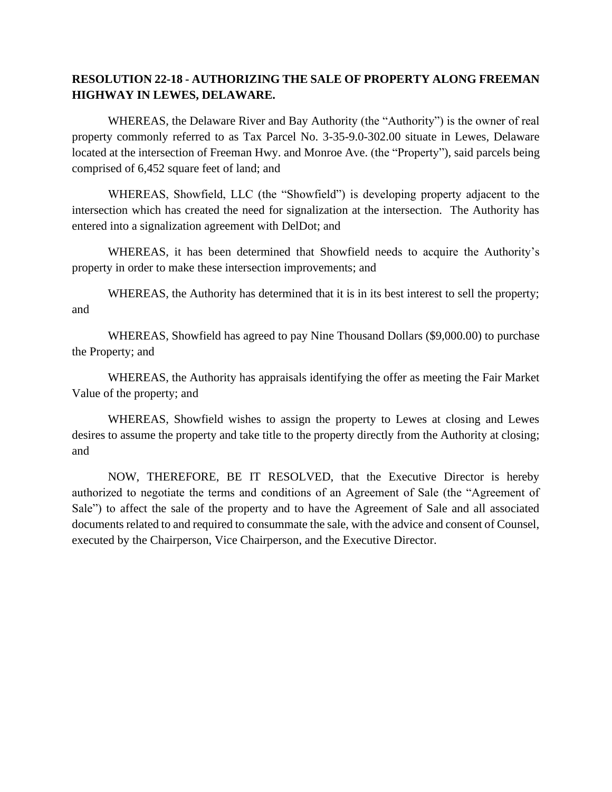## **RESOLUTION 22-18 - AUTHORIZING THE SALE OF PROPERTY ALONG FREEMAN HIGHWAY IN LEWES, DELAWARE.**

WHEREAS, the Delaware River and Bay Authority (the "Authority") is the owner of real property commonly referred to as Tax Parcel No. 3-35-9.0-302.00 situate in Lewes, Delaware located at the intersection of Freeman Hwy. and Monroe Ave. (the "Property"), said parcels being comprised of 6,452 square feet of land; and

WHEREAS, Showfield, LLC (the "Showfield") is developing property adjacent to the intersection which has created the need for signalization at the intersection. The Authority has entered into a signalization agreement with DelDot; and

WHEREAS, it has been determined that Showfield needs to acquire the Authority's property in order to make these intersection improvements; and

WHEREAS, the Authority has determined that it is in its best interest to sell the property; and

WHEREAS, Showfield has agreed to pay Nine Thousand Dollars (\$9,000.00) to purchase the Property; and

WHEREAS, the Authority has appraisals identifying the offer as meeting the Fair Market Value of the property; and

WHEREAS, Showfield wishes to assign the property to Lewes at closing and Lewes desires to assume the property and take title to the property directly from the Authority at closing; and

NOW, THEREFORE, BE IT RESOLVED, that the Executive Director is hereby authorized to negotiate the terms and conditions of an Agreement of Sale (the "Agreement of Sale") to affect the sale of the property and to have the Agreement of Sale and all associated documents related to and required to consummate the sale, with the advice and consent of Counsel, executed by the Chairperson, Vice Chairperson, and the Executive Director.